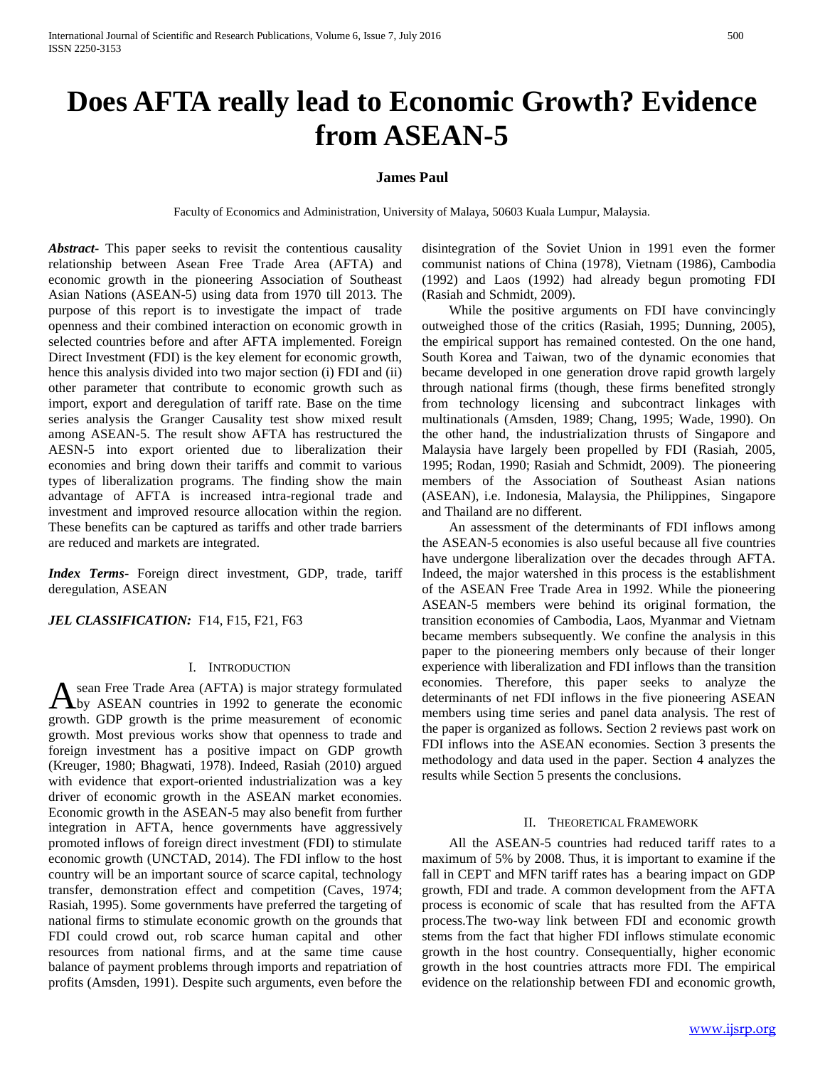# **Does AFTA really lead to Economic Growth? Evidence from ASEAN-5**

## **James Paul**

Faculty of Economics and Administration, University of Malaya, 50603 Kuala Lumpur, Malaysia.

*Abstract***-** This paper seeks to revisit the contentious causality relationship between Asean Free Trade Area (AFTA) and economic growth in the pioneering Association of Southeast Asian Nations (ASEAN-5) using data from 1970 till 2013. The purpose of this report is to investigate the impact of trade openness and their combined interaction on economic growth in selected countries before and after AFTA implemented. Foreign Direct Investment (FDI) is the key element for economic growth, hence this analysis divided into two major section (i) FDI and (ii) other parameter that contribute to economic growth such as import, export and deregulation of tariff rate. Base on the time series analysis the Granger Causality test show mixed result among ASEAN-5. The result show AFTA has restructured the AESN-5 into export oriented due to liberalization their economies and bring down their tariffs and commit to various types of liberalization programs. The finding show the main advantage of AFTA is increased intra-regional trade and investment and improved resource allocation within the region. These benefits can be captured as tariffs and other trade barriers are reduced and markets are integrated.

*Index Terms*- Foreign direct investment, GDP, trade, tariff deregulation, ASEAN

JEL CLASSIFICATION: F14, F15, F21, F63

## I. INTRODUCTION

sean Free Trade Area (AFTA) is major strategy formulated by ASEAN countries in 1992 to generate the economic A sean Free Trade Area (AFTA) is major strategy formulated<br>growth. GDP growth is the prime measurement of economic growth. Most previous works show that openness to trade and foreign investment has a positive impact on GDP growth (Kreuger, 1980; Bhagwati, 1978). Indeed, Rasiah (2010) argued with evidence that export-oriented industrialization was a key driver of economic growth in the ASEAN market economies. Economic growth in the ASEAN-5 may also benefit from further integration in AFTA, hence governments have aggressively promoted inflows of foreign direct investment (FDI) to stimulate economic growth (UNCTAD, 2014). The FDI inflow to the host country will be an important source of scarce capital, technology transfer, demonstration effect and competition (Caves, 1974; Rasiah, 1995). Some governments have preferred the targeting of national firms to stimulate economic growth on the grounds that FDI could crowd out, rob scarce human capital and other resources from national firms, and at the same time cause balance of payment problems through imports and repatriation of profits (Amsden, 1991). Despite such arguments, even before the

disintegration of the Soviet Union in 1991 even the former communist nations of China (1978), Vietnam (1986), Cambodia (1992) and Laos (1992) had already begun promoting FDI (Rasiah and Schmidt, 2009).

 While the positive arguments on FDI have convincingly outweighed those of the critics (Rasiah, 1995; Dunning, 2005), the empirical support has remained contested. On the one hand, South Korea and Taiwan, two of the dynamic economies that became developed in one generation drove rapid growth largely through national firms (though, these firms benefited strongly from technology licensing and subcontract linkages with multinationals (Amsden, 1989; Chang, 1995; Wade, 1990). On the other hand, the industrialization thrusts of Singapore and Malaysia have largely been propelled by FDI (Rasiah, 2005, 1995; Rodan, 1990; Rasiah and Schmidt, 2009). The pioneering members of the Association of Southeast Asian nations (ASEAN), i.e. Indonesia, Malaysia, the Philippines, Singapore and Thailand are no different.

 An assessment of the determinants of FDI inflows among the ASEAN-5 economies is also useful because all five countries have undergone liberalization over the decades through AFTA. Indeed, the major watershed in this process is the establishment of the ASEAN Free Trade Area in 1992. While the pioneering ASEAN-5 members were behind its original formation, the transition economies of Cambodia, Laos, Myanmar and Vietnam became members subsequently. We confine the analysis in this paper to the pioneering members only because of their longer experience with liberalization and FDI inflows than the transition economies. Therefore, this paper seeks to analyze the determinants of net FDI inflows in the five pioneering ASEAN members using time series and panel data analysis. The rest of the paper is organized as follows. Section 2 reviews past work on FDI inflows into the ASEAN economies. Section 3 presents the methodology and data used in the paper. Section 4 analyzes the results while Section 5 presents the conclusions.

#### II. THEORETICAL FRAMEWORK

 All the ASEAN-5 countries had reduced tariff rates to a maximum of 5% by 2008. Thus, it is important to examine if the fall in CEPT and MFN tariff rates has a bearing impact on GDP growth, FDI and trade. A common development from the AFTA process is economic of scale that has resulted from the AFTA process.The two-way link between FDI and economic growth stems from the fact that higher FDI inflows stimulate economic growth in the host country. Consequentially, higher economic growth in the host countries attracts more FDI. The empirical evidence on the relationship between FDI and economic growth,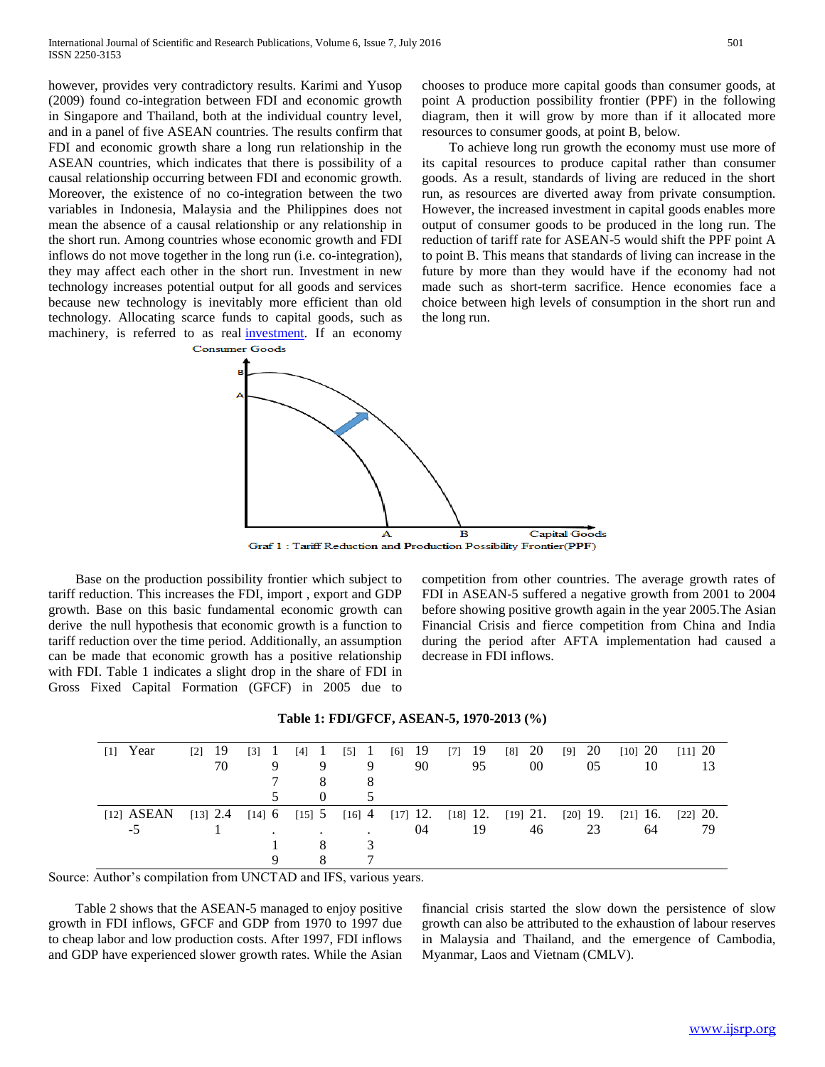however, provides very contradictory results. Karimi and Yusop (2009) found co-integration between FDI and economic growth in Singapore and Thailand, both at the individual country level, and in a panel of five ASEAN countries. The results confirm that FDI and economic growth share a long run relationship in the ASEAN countries, which indicates that there is possibility of a causal relationship occurring between FDI and economic growth. Moreover, the existence of no co-integration between the two variables in Indonesia, Malaysia and the Philippines does not mean the absence of a causal relationship or any relationship in the short run. Among countries whose economic growth and FDI inflows do not move together in the long run (i.e. co-integration), they may affect each other in the short run. Investment in new technology increases potential output for all goods and services because new technology is inevitably more efficient than old technology. Allocating scarce funds to capital goods, such as machinery, is referred to as real [investment.](http://economicsonline.co.uk/Managing_the_economy/Investment.html) If an economy **Consumer Goods** 

Capital Goods A  $\overline{\mathbf{B}}$ 

the long run.

Graf 1: Tariff Reduction and Production Possibility Frontier(PPF)

 Base on the production possibility frontier which subject to tariff reduction. This increases the FDI, import , export and GDP growth. Base on this basic fundamental economic growth can derive the null hypothesis that economic growth is a function to tariff reduction over the time period. Additionally, an assumption can be made that economic growth has a positive relationship with FDI. Table 1 indicates a slight drop in the share of FDI in Gross Fixed Capital Formation (GFCF) in 2005 due to

competition from other countries. The average growth rates of FDI in ASEAN-5 suffered a negative growth from 2001 to 2004 before showing positive growth again in the year 2005.The Asian Financial Crisis and fierce competition from China and India during the period after AFTA implementation had caused a decrease in FDI inflows.

chooses to produce more capital goods than consumer goods, at point A production possibility frontier (PPF) in the following diagram, then it will grow by more than if it allocated more

 To achieve long run growth the economy must use more of its capital resources to produce capital rather than consumer goods. As a result, standards of living are reduced in the short run, as resources are diverted away from private consumption. However, the increased investment in capital goods enables more output of consumer goods to be produced in the long run. The reduction of tariff rate for ASEAN-5 would shift the PPF point A to point B. This means that standards of living can increase in the future by more than they would have if the economy had not made such as short-term sacrifice. Hence economies face a choice between high levels of consumption in the short run and

resources to consumer goods, at point B, below.

| $[1]$ Year   | -19<br>$\lceil 2 \rceil$ | $\lceil 3 \rceil$<br>-1 | $[4]$ 1  | $\begin{bmatrix} 5 \end{bmatrix}$ 1 | $[6]$ 19                                                               | $[7]$ 19 | - 20<br>$[8]$ | $[9]$ 20 | $[10]$ 20             | $[11]$ 20 |
|--------------|--------------------------|-------------------------|----------|-------------------------------------|------------------------------------------------------------------------|----------|---------------|----------|-----------------------|-----------|
|              | 70                       |                         | 9<br>8   | 9                                   | 90                                                                     | 95       | $00\,$        | 05       | 10                    | 13        |
|              |                          |                         | $\Omega$ |                                     |                                                                        |          |               |          |                       |           |
| $[12]$ ASEAN | $[13]$ 2.4               |                         |          |                                     | $[14]$ 6 $[15]$ 5 $[16]$ 4 $[17]$ 12. $[18]$ 12. $[19]$ 21. $[20]$ 19. |          |               |          | $[21]$ 16. $[22]$ 20. |           |
| -5           |                          |                         |          | ٠                                   | 04                                                                     | 19       | 46            | 23       | 64                    | 79        |
|              |                          |                         | 8        |                                     |                                                                        |          |               |          |                       |           |
|              |                          |                         | 8        |                                     |                                                                        |          |               |          |                       |           |

#### **Table 1: FDI/GFCF, ASEAN-5, 1970-2013 (%)**

Source: Author's compilation from UNCTAD and IFS, various years.

 Table 2 shows that the ASEAN-5 managed to enjoy positive growth in FDI inflows, GFCF and GDP from 1970 to 1997 due to cheap labor and low production costs. After 1997, FDI inflows and GDP have experienced slower growth rates. While the Asian

financial crisis started the slow down the persistence of slow growth can also be attributed to the exhaustion of labour reserves in Malaysia and Thailand, and the emergence of Cambodia, Myanmar, Laos and Vietnam (CMLV).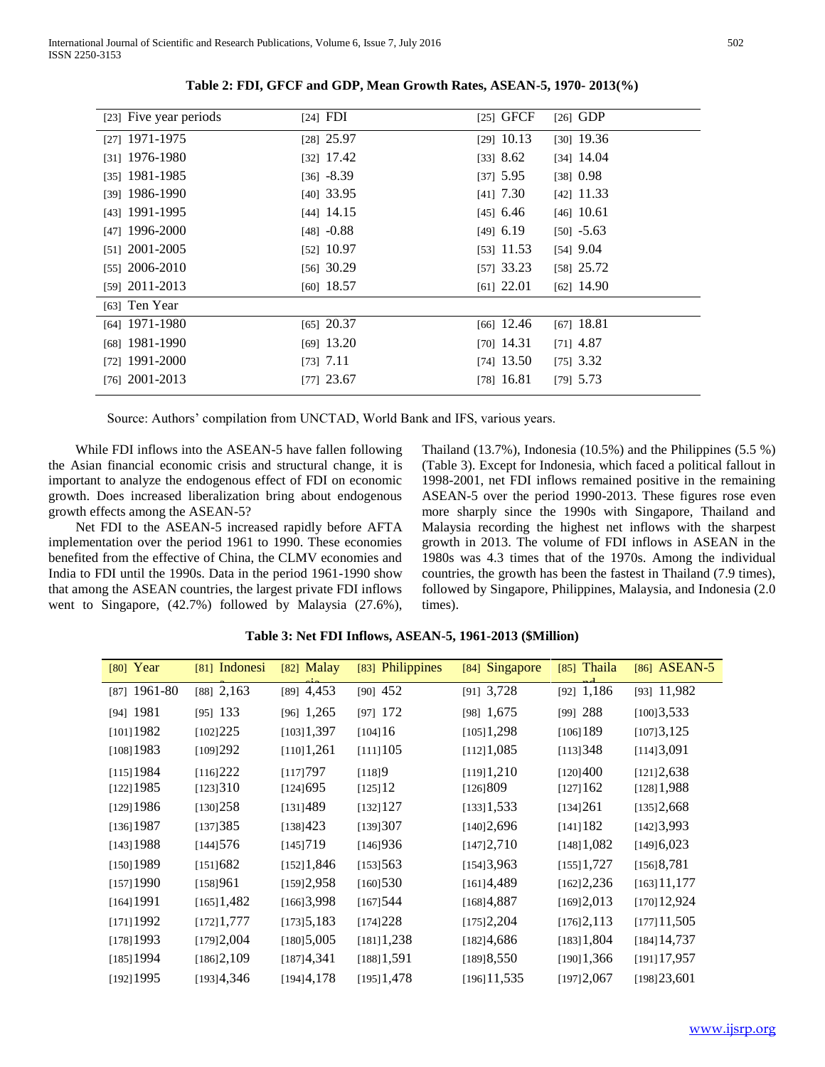| [23] Five year periods | $[24]$ FDI   | $[25]$ GFCF  | $[26]$ GDP   |
|------------------------|--------------|--------------|--------------|
| [27] 1971-1975         | $[28]$ 25.97 | $[29]$ 10.13 | $[30]$ 19.36 |
| [31] 1976-1980         | $[32]$ 17.42 | $[33]$ 8.62  | $[34]$ 14.04 |
| $[35]$ 1981-1985       | $[36] -8.39$ | $[37]$ 5.95  | $[38]$ 0.98  |
| [39] 1986-1990         | $[40]$ 33.95 | $[41]$ 7.30  | $[42]$ 11.33 |
| [43] 1991-1995         | $[44]$ 14.15 | $[45]$ 6.46  | $[46]$ 10.61 |
| [47] 1996-2000         | $[48] -0.88$ | $[49]$ 6.19  | $[50] -5.63$ |
| $[51]$ 2001-2005       | $[52]$ 10.97 | $[53]$ 11.53 | $[54]$ 9.04  |
| $[55]$ 2006-2010       | $[56]$ 30.29 | $[57]$ 33.23 | $[58]$ 25.72 |
| $[59]$ 2011-2013       | $[60]$ 18.57 | $[61]$ 22.01 | $[62]$ 14.90 |
| $[63]$ Ten Year        |              |              |              |
| [64] 1971-1980         | $[65]$ 20.37 | $[66]$ 12.46 | $[67]$ 18.81 |
| [68] 1981-1990         | $[69]$ 13.20 | $[70]$ 14.31 | $[71]$ 4.87  |
| [72] $1991 - 2000$     | $[73]$ 7.11  | $[74]$ 13.50 | $[75]$ 3.32  |
| [76] $2001 - 2013$     | $[77]$ 23.67 | $[78]$ 16.81 | $[79]$ 5.73  |

**Table 2: FDI, GFCF and GDP, Mean Growth Rates, ASEAN-5, 1970- 2013(%)**

Source: Authors' compilation from UNCTAD, World Bank and IFS, various years.

 While FDI inflows into the ASEAN-5 have fallen following the Asian financial economic crisis and structural change, it is important to analyze the endogenous effect of FDI on economic growth. Does increased liberalization bring about endogenous growth effects among the ASEAN-5?

 Net FDI to the ASEAN-5 increased rapidly before AFTA implementation over the period 1961 to 1990. These economies benefited from the effective of China, the CLMV economies and India to FDI until the 1990s. Data in the period 1961-1990 show that among the ASEAN countries, the largest private FDI inflows went to Singapore, (42.7%) followed by Malaysia (27.6%), Thailand (13.7%), Indonesia (10.5%) and the Philippines (5.5 %) (Table 3). Except for Indonesia, which faced a political fallout in 1998-2001, net FDI inflows remained positive in the remaining ASEAN-5 over the period 1990-2013. These figures rose even more sharply since the 1990s with Singapore, Thailand and Malaysia recording the highest net inflows with the sharpest growth in 2013. The volume of FDI inflows in ASEAN in the 1980s was 4.3 times that of the 1970s. Among the individual countries, the growth has been the fastest in Thailand (7.9 times), followed by Singapore, Philippines, Malaysia, and Indonesia (2.0 times).

| $[80]$ Year    | [81] Indonesi | $[82]$ Malay | [83] Philippines | [84] Singapore | $[85]$ Thaila             | [86] ASEAN-5   |
|----------------|---------------|--------------|------------------|----------------|---------------------------|----------------|
| $[87]$ 1961-80 | $[88]$ 2,163  | $[89]$ 4,453 | $[90]$ 452       | [91] 3,728     | $[92]$ 1,186              | $[93]$ 11,982  |
| $[94]$ 1981    | $[95]$ 133    | $[96]$ 1,265 | $[97]$ 172       | $[98]$ 1,675   | $[99]$ 288                | [100]3,533     |
| [101]1982      | [102]225      | [103]1,397   | [104]16          | [105]1,298     | $[106]$ 189               | [107]3,125     |
| [108] 1983     | [109]292      | [110]1,261   | [111]105         | [112]1,085     | [113]348                  | [114]3,091     |
| $[115]$ 1984   | [116]222      | [117]797     | [118]9           | [119]1,210     | [120]400                  | [121]2,638     |
| $[122]$ 1985   | [123]310      | $[124]$ 695  | [125]12          | [126] 809      | [127]162                  | [128]1,988     |
| [129]1986      | [130]258      | [131]489     | $[132]$ 127      | [133]1,533     | [134]261                  | [135]2,668     |
| $[136]$ 1987   | [137]385      | [138]423     | [139]307         | [140]2,696     | $[141]$ 182               | [142]3,993     |
| $[143]$ 1988   | [144]576      | [145]719     | [146]936         | [147]2,710     | [148]1,082                | [149] 6,023    |
| $[150]$ 1989   | [151]682      | [152]1,846   | [153]563         | [154]3,963     | [155]1,727                | [156]8,781     |
| $[157]$ 1990   | [158]961      | [159]2,958   | [160]530         | [161]4,489     | [162]2,236                | [163]11,177    |
| $[164]$ 1991   | $[165]$ 1,482 | [166]3,998   | [167] 544        | [168]4,887     | [169]2,013                | $[170]$ 12,924 |
| [171]1992      | [172]1,777    | [173]5,183   | [174]228         | [175]2,204     | [176]2,113                | [177]11,505    |
| $[178]$ 1993   | [179]2,004    | [180]5,005   | [181]1,238       | [182]4,686     | $[183]$ 1,804             | $[184]$ 14,737 |
| $[185]$ 1994   | [186]2,109    | [187]4,341   | [188]1,591       | [189]8,550     | $[190]$ <sup>1</sup> ,366 | $[191]$ 17,957 |
| $[192]$ 1995   | [193]4,346    | [194]4,178   | $[195]$ 1,478    | $[196]$ 11,535 | [197]2,067                | [198]23,601    |

**Table 3: Net FDI Inflows, ASEAN-5, 1961-2013 (\$Million)**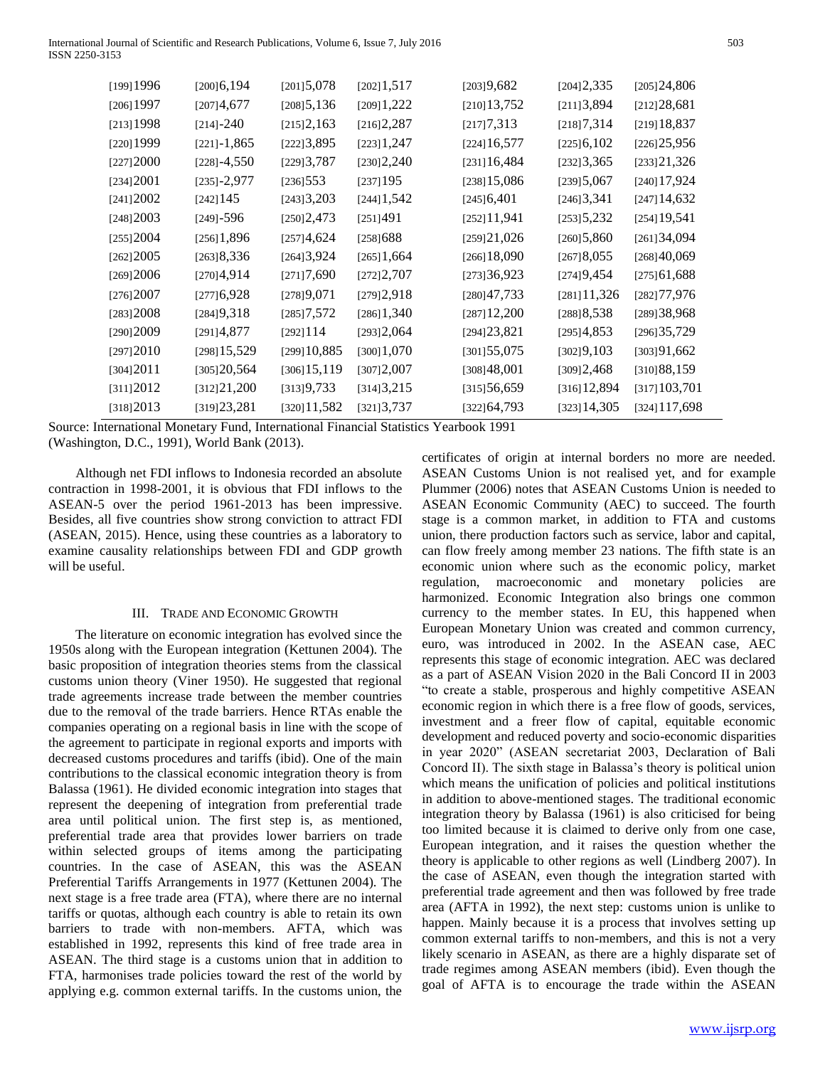| $[199]$ 1996 | $[200]$ 6,194   | $[201]$ 5,078  | [202]1,517    | [203]9,682     | [204]2,335     | [205]24,806    |
|--------------|-----------------|----------------|---------------|----------------|----------------|----------------|
| $[206]$ 1997 | [207]4,677      | [208]5,136     | [209]1,222    | $[210]$ 13,752 | [211]3,894     | [212]28,681    |
| $[213]$ 1998 | $[214]-240$     | [215]2,163     | [216]2,287    | [217]7,313     | [218]7,314     | [219]18,837    |
| $[220]$ 1999 | $[221]-1,865$   | [222]3,895     | [223]1,247    | $[224]$ 16,577 | [225]6,102     | [226]25,956    |
| [227]2000    | $[228] - 4,550$ | [229]3,787     | [230]2,240    | [231]16,484    | [232]3,365     | [233]21,326    |
| [234]2001    | $[235]-2,977$   | $[236]$ 553    | $[237]$ 195   | $[238]$ 15,086 | [239]5,067     | $[240]$ 17,924 |
| [241]2002    | $[242]$ 145     | [243]3,203     | $[244]$ 1,542 | $[245]$ 6,401  | [246]3,341     | $[247]$ 14,632 |
| [248]2003    | $[249] - 596$   | [250]2,473     | [251]491      | [252]11,941    | [253]5,232     | $[254]$ 19,541 |
| [255]2004    | [256]1,896      | [257]4,624     | [258]688      | [259]21,026    | [260]5,860     | [261]34,094    |
| [262]2005    | [263]8,336      | [264]3,924     | $[265]$ 1,664 | $[266]$ 18,090 | [267]8,055     | [268]40,069    |
| [269]2006    | [270]4,914      | [271]7,690     | [272]2,707    | [273]36,923    | [274]9,454     | [275]61,688    |
| [276]2007    | [277]6,928      | [278]9,071     | [279]2,918    | [280]47,733    | $[281]$ 11,326 | [282] 77,976   |
| [283]2008    | [284]9,318      | [285]7,572     | [286]1,340    | $[287]$ 12,200 | [288]8,538     | [289]38,968    |
| [290]2009    | [291]4,877      | [292]114       | [293]2,064    | [294]23,821    | [295]4,853     | [296]35,729    |
| [297]2010    | $[298]$ 15,529  | [299]10,885    | [300]1,070    | [301] 55,075   | [302]9,103     | [303]91,662    |
| [304]2011    | [305]20,564     | $[306]$ 15,119 | [307]2,007    | [308]48,001    | [309]2,468     | [310] 88, 159  |
| [311]2012    | [312]21,200     | [313]9,733     | [314]3,215    | [315]56,659    | $[316]$ 12,894 | [317] 103,701  |
| [318]2013    | [319]23,281     | [320]11,582    | [321] 3,737   | [322] 64,793   | $[323]$ 14,305 | [324] 117,698  |

Source: International Monetary Fund, International Financial Statistics Yearbook 1991 (Washington, D.C., 1991), World Bank (2013).

 Although net FDI inflows to Indonesia recorded an absolute contraction in 1998-2001, it is obvious that FDI inflows to the ASEAN-5 over the period 1961-2013 has been impressive. Besides, all five countries show strong conviction to attract FDI (ASEAN, 2015). Hence, using these countries as a laboratory to examine causality relationships between FDI and GDP growth will be useful.

## III. TRADE AND ECONOMIC GROWTH

 The literature on economic integration has evolved since the 1950s along with the European integration (Kettunen 2004). The basic proposition of integration theories stems from the classical customs union theory (Viner 1950). He suggested that regional trade agreements increase trade between the member countries due to the removal of the trade barriers. Hence RTAs enable the companies operating on a regional basis in line with the scope of the agreement to participate in regional exports and imports with decreased customs procedures and tariffs (ibid). One of the main contributions to the classical economic integration theory is from Balassa (1961). He divided economic integration into stages that represent the deepening of integration from preferential trade area until political union. The first step is, as mentioned, preferential trade area that provides lower barriers on trade within selected groups of items among the participating countries. In the case of ASEAN, this was the ASEAN Preferential Tariffs Arrangements in 1977 (Kettunen 2004). The next stage is a free trade area (FTA), where there are no internal tariffs or quotas, although each country is able to retain its own barriers to trade with non-members. AFTA, which was established in 1992, represents this kind of free trade area in ASEAN. The third stage is a customs union that in addition to FTA, harmonises trade policies toward the rest of the world by applying e.g. common external tariffs. In the customs union, the

certificates of origin at internal borders no more are needed. ASEAN Customs Union is not realised yet, and for example Plummer (2006) notes that ASEAN Customs Union is needed to ASEAN Economic Community (AEC) to succeed. The fourth stage is a common market, in addition to FTA and customs union, there production factors such as service, labor and capital, can flow freely among member 23 nations. The fifth state is an economic union where such as the economic policy, market regulation, macroeconomic and monetary policies are harmonized. Economic Integration also brings one common currency to the member states. In EU, this happened when European Monetary Union was created and common currency, euro, was introduced in 2002. In the ASEAN case, AEC represents this stage of economic integration. AEC was declared as a part of ASEAN Vision 2020 in the Bali Concord II in 2003 "to create a stable, prosperous and highly competitive ASEAN economic region in which there is a free flow of goods, services, investment and a freer flow of capital, equitable economic development and reduced poverty and socio-economic disparities in year 2020" (ASEAN secretariat 2003, Declaration of Bali Concord II). The sixth stage in Balassa's theory is political union which means the unification of policies and political institutions in addition to above-mentioned stages. The traditional economic integration theory by Balassa (1961) is also criticised for being too limited because it is claimed to derive only from one case, European integration, and it raises the question whether the theory is applicable to other regions as well (Lindberg 2007). In the case of ASEAN, even though the integration started with preferential trade agreement and then was followed by free trade area (AFTA in 1992), the next step: customs union is unlike to happen. Mainly because it is a process that involves setting up common external tariffs to non-members, and this is not a very likely scenario in ASEAN, as there are a highly disparate set of trade regimes among ASEAN members (ibid). Even though the goal of AFTA is to encourage the trade within the ASEAN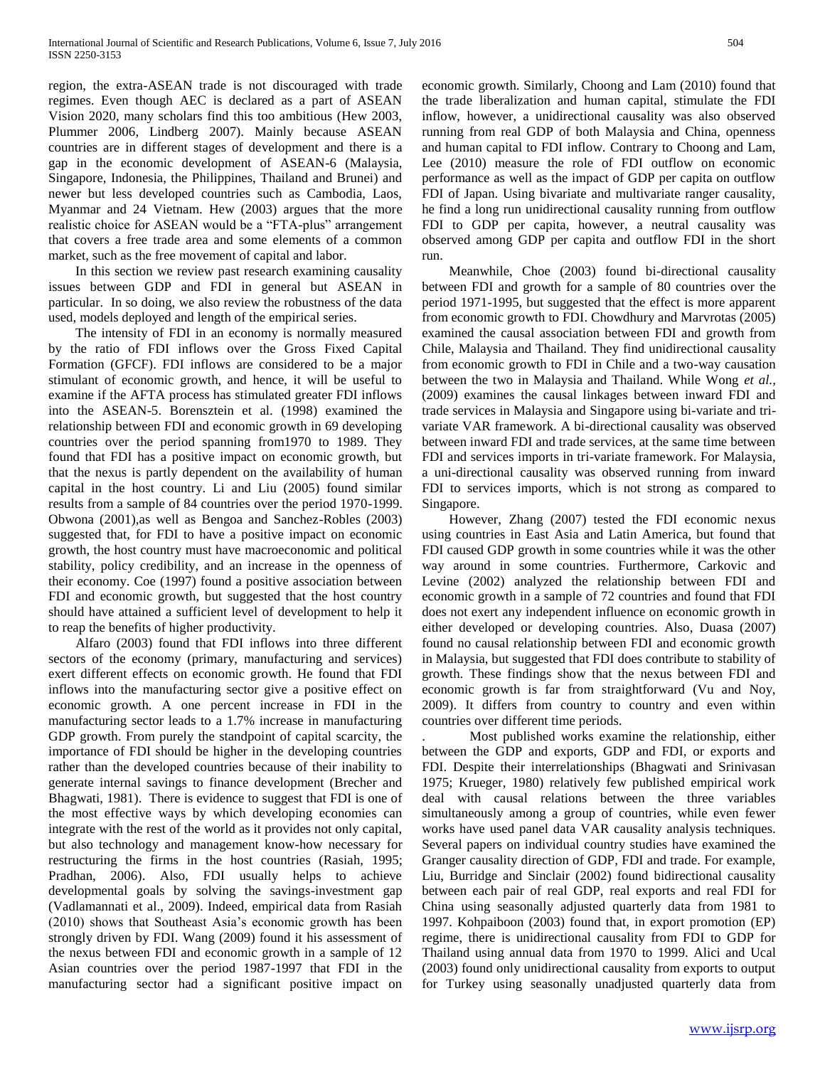region, the extra-ASEAN trade is not discouraged with trade regimes. Even though AEC is declared as a part of ASEAN Vision 2020, many scholars find this too ambitious (Hew 2003, Plummer 2006, Lindberg 2007). Mainly because ASEAN countries are in different stages of development and there is a gap in the economic development of ASEAN-6 (Malaysia, Singapore, Indonesia, the Philippines, Thailand and Brunei) and newer but less developed countries such as Cambodia, Laos, Myanmar and 24 Vietnam. Hew (2003) argues that the more realistic choice for ASEAN would be a "FTA-plus" arrangement that covers a free trade area and some elements of a common market, such as the free movement of capital and labor.

 In this section we review past research examining causality issues between GDP and FDI in general but ASEAN in particular. In so doing, we also review the robustness of the data used, models deployed and length of the empirical series.

 The intensity of FDI in an economy is normally measured by the ratio of FDI inflows over the Gross Fixed Capital Formation (GFCF). FDI inflows are considered to be a major stimulant of economic growth, and hence, it will be useful to examine if the AFTA process has stimulated greater FDI inflows into the ASEAN-5. Borensztein et al. (1998) examined the relationship between FDI and economic growth in 69 developing countries over the period spanning from1970 to 1989. They found that FDI has a positive impact on economic growth, but that the nexus is partly dependent on the availability of human capital in the host country. Li and Liu (2005) found similar results from a sample of 84 countries over the period 1970-1999. Obwona (2001),as well as Bengoa and Sanchez-Robles (2003) suggested that, for FDI to have a positive impact on economic growth, the host country must have macroeconomic and political stability, policy credibility, and an increase in the openness of their economy. Coe (1997) found a positive association between FDI and economic growth, but suggested that the host country should have attained a sufficient level of development to help it to reap the benefits of higher productivity.

 Alfaro (2003) found that FDI inflows into three different sectors of the economy (primary, manufacturing and services) exert different effects on economic growth. He found that FDI inflows into the manufacturing sector give a positive effect on economic growth. A one percent increase in FDI in the manufacturing sector leads to a 1.7% increase in manufacturing GDP growth. From purely the standpoint of capital scarcity, the importance of FDI should be higher in the developing countries rather than the developed countries because of their inability to generate internal savings to finance development (Brecher and Bhagwati, 1981). There is evidence to suggest that FDI is one of the most effective ways by which developing economies can integrate with the rest of the world as it provides not only capital, but also technology and management know-how necessary for restructuring the firms in the host countries (Rasiah, 1995; Pradhan, 2006). Also, FDI usually helps to achieve developmental goals by solving the savings-investment gap (Vadlamannati et al., 2009). Indeed, empirical data from Rasiah (2010) shows that Southeast Asia's economic growth has been strongly driven by FDI. Wang (2009) found it his assessment of the nexus between FDI and economic growth in a sample of 12 Asian countries over the period 1987-1997 that FDI in the manufacturing sector had a significant positive impact on

economic growth. Similarly, Choong and Lam (2010) found that the trade liberalization and human capital, stimulate the FDI inflow, however, a unidirectional causality was also observed running from real GDP of both Malaysia and China, openness and human capital to FDI inflow. Contrary to Choong and Lam, Lee (2010) measure the role of FDI outflow on economic performance as well as the impact of GDP per capita on outflow FDI of Japan. Using bivariate and multivariate ranger causality, he find a long run unidirectional causality running from outflow FDI to GDP per capita, however, a neutral causality was observed among GDP per capita and outflow FDI in the short run.

 Meanwhile, Choe (2003) found bi-directional causality between FDI and growth for a sample of 80 countries over the period 1971-1995, but suggested that the effect is more apparent from economic growth to FDI. Chowdhury and Marvrotas (2005) examined the causal association between FDI and growth from Chile, Malaysia and Thailand. They find unidirectional causality from economic growth to FDI in Chile and a two-way causation between the two in Malaysia and Thailand. While Wong *et al.,* (2009) examines the causal linkages between inward FDI and trade services in Malaysia and Singapore using bi-variate and trivariate VAR framework. A bi-directional causality was observed between inward FDI and trade services, at the same time between FDI and services imports in tri-variate framework. For Malaysia, a uni-directional causality was observed running from inward FDI to services imports, which is not strong as compared to Singapore.

 However, Zhang (2007) tested the FDI economic nexus using countries in East Asia and Latin America, but found that FDI caused GDP growth in some countries while it was the other way around in some countries. Furthermore, Carkovic and Levine (2002) analyzed the relationship between FDI and economic growth in a sample of 72 countries and found that FDI does not exert any independent influence on economic growth in either developed or developing countries. Also, Duasa (2007) found no causal relationship between FDI and economic growth in Malaysia, but suggested that FDI does contribute to stability of growth. These findings show that the nexus between FDI and economic growth is far from straightforward (Vu and Noy, 2009). It differs from country to country and even within countries over different time periods.

. Most published works examine the relationship, either between the GDP and exports, GDP and FDI, or exports and FDI. Despite their interrelationships (Bhagwati and Srinivasan 1975; Krueger, 1980) relatively few published empirical work deal with causal relations between the three variables simultaneously among a group of countries, while even fewer works have used panel data VAR causality analysis techniques. Several papers on individual country studies have examined the Granger causality direction of GDP, FDI and trade. For example, Liu, Burridge and Sinclair (2002) found bidirectional causality between each pair of real GDP, real exports and real FDI for China using seasonally adjusted quarterly data from 1981 to 1997. Kohpaiboon (2003) found that, in export promotion (EP) regime, there is unidirectional causality from FDI to GDP for Thailand using annual data from 1970 to 1999. Alici and Ucal (2003) found only unidirectional causality from exports to output for Turkey using seasonally unadjusted quarterly data from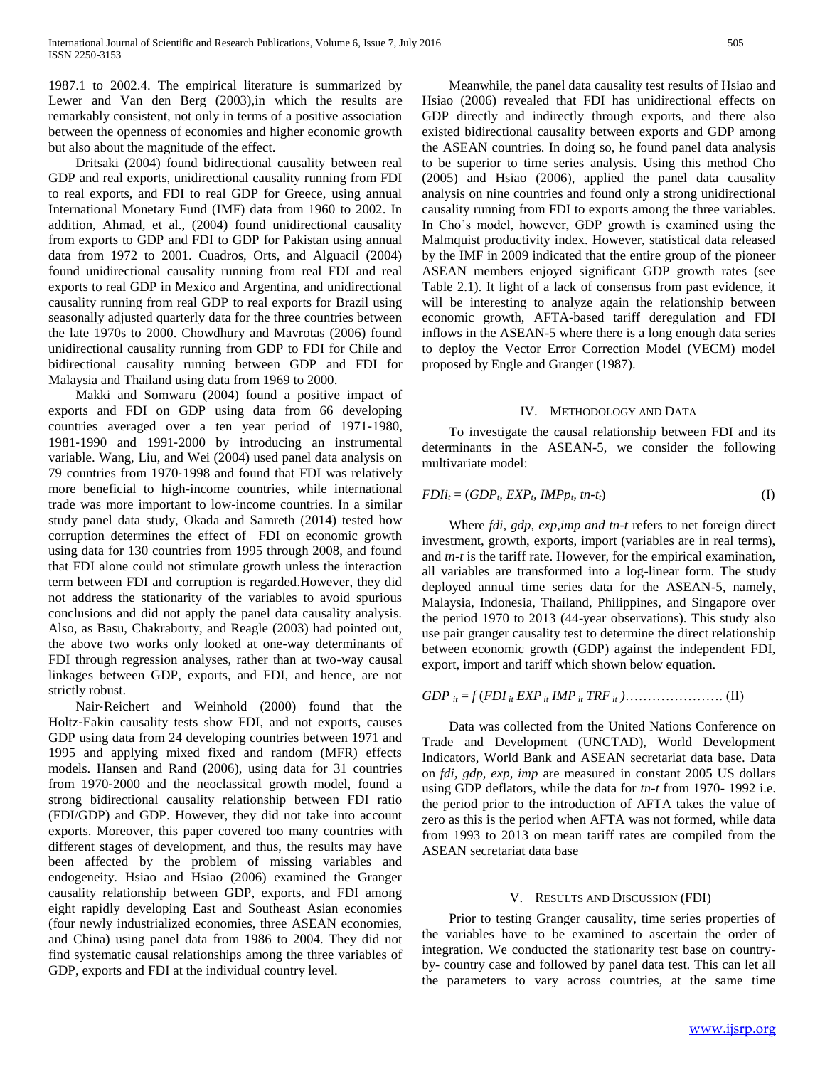1987.1 to 2002.4. The empirical literature is summarized by Lewer and Van den Berg (2003),in which the results are remarkably consistent, not only in terms of a positive association between the openness of economies and higher economic growth but also about the magnitude of the effect.

 Dritsaki (2004) found bidirectional causality between real GDP and real exports, unidirectional causality running from FDI to real exports, and FDI to real GDP for Greece, using annual International Monetary Fund (IMF) data from 1960 to 2002. In addition, Ahmad, et al., (2004) found unidirectional causality from exports to GDP and FDI to GDP for Pakistan using annual data from 1972 to 2001. Cuadros, Orts, and Alguacil (2004) found unidirectional causality running from real FDI and real exports to real GDP in Mexico and Argentina, and unidirectional causality running from real GDP to real exports for Brazil using seasonally adjusted quarterly data for the three countries between the late 1970s to 2000. Chowdhury and Mavrotas (2006) found unidirectional causality running from GDP to FDI for Chile and bidirectional causality running between GDP and FDI for Malaysia and Thailand using data from 1969 to 2000.

 Makki and Somwaru (2004) found a positive impact of exports and FDI on GDP using data from 66 developing countries averaged over a ten year period of 1971‐1980, 1981‐1990 and 1991‐2000 by introducing an instrumental variable. Wang, Liu, and Wei (2004) used panel data analysis on 79 countries from 1970‐1998 and found that FDI was relatively more beneficial to high-income countries, while international trade was more important to low-income countries. In a similar study panel data study, Okada and Samreth (2014) tested how corruption determines the effect of FDI on economic growth using data for 130 countries from 1995 through 2008, and found that FDI alone could not stimulate growth unless the interaction term between FDI and corruption is regarded.However, they did not address the stationarity of the variables to avoid spurious conclusions and did not apply the panel data causality analysis. Also, as Basu, Chakraborty, and Reagle (2003) had pointed out, the above two works only looked at one-way determinants of FDI through regression analyses, rather than at two-way causal linkages between GDP, exports, and FDI, and hence, are not strictly robust.

 Nair‐Reichert and Weinhold (2000) found that the Holtz‐Eakin causality tests show FDI, and not exports, causes GDP using data from 24 developing countries between 1971 and 1995 and applying mixed fixed and random (MFR) effects models. Hansen and Rand (2006), using data for 31 countries from 1970‐2000 and the neoclassical growth model, found a strong bidirectional causality relationship between FDI ratio (FDI/GDP) and GDP. However, they did not take into account exports. Moreover, this paper covered too many countries with different stages of development, and thus, the results may have been affected by the problem of missing variables and endogeneity. Hsiao and Hsiao (2006) examined the Granger causality relationship between GDP, exports, and FDI among eight rapidly developing East and Southeast Asian economies (four newly industrialized economies, three ASEAN economies, and China) using panel data from 1986 to 2004. They did not find systematic causal relationships among the three variables of GDP, exports and FDI at the individual country level.

 Meanwhile, the panel data causality test results of Hsiao and Hsiao (2006) revealed that FDI has unidirectional effects on GDP directly and indirectly through exports, and there also existed bidirectional causality between exports and GDP among the ASEAN countries. In doing so, he found panel data analysis to be superior to time series analysis. Using this method Cho (2005) and Hsiao (2006), applied the panel data causality analysis on nine countries and found only a strong unidirectional causality running from FDI to exports among the three variables. In Cho's model, however, GDP growth is examined using the Malmquist productivity index. However, statistical data released by the IMF in 2009 indicated that the entire group of the pioneer ASEAN members enjoyed significant GDP growth rates (see Table 2.1). It light of a lack of consensus from past evidence, it will be interesting to analyze again the relationship between economic growth, AFTA-based tariff deregulation and FDI inflows in the ASEAN-5 where there is a long enough data series to deploy the Vector Error Correction Model (VECM) model proposed by Engle and Granger (1987).

## IV. METHODOLOGY AND DATA

 To investigate the causal relationship between FDI and its determinants in the ASEAN-5, we consider the following multivariate model:

$$
FDIi_t = (GDP_b \, EXP_b \, IMPp_b \, tn-t_t) \tag{I}
$$

 Where *fdi, gdp, exp,imp and tn-t* refers to net foreign direct investment, growth, exports, import (variables are in real terms), and *tn-t* is the tariff rate. However, for the empirical examination, all variables are transformed into a log-linear form. The study deployed annual time series data for the ASEAN-5, namely, Malaysia, Indonesia, Thailand, Philippines, and Singapore over the period 1970 to 2013 (44-year observations). This study also use pair granger causality test to determine the direct relationship between economic growth (GDP) against the independent FDI, export, import and tariff which shown below equation.

*GDP it* = *f* (*FDI it EXP it IMP it TRF it )*…………………. (II)

 Data was collected from the United Nations Conference on Trade and Development (UNCTAD), World Development Indicators, World Bank and ASEAN secretariat data base. Data on *fdi, gdp, exp, imp* are measured in constant 2005 US dollars using GDP deflators, while the data for *tn-t* from 1970- 1992 i.e. the period prior to the introduction of AFTA takes the value of zero as this is the period when AFTA was not formed, while data from 1993 to 2013 on mean tariff rates are compiled from the ASEAN secretariat data base

#### V. RESULTS AND DISCUSSION (FDI)

 Prior to testing Granger causality, time series properties of the variables have to be examined to ascertain the order of integration. We conducted the stationarity test base on countryby- country case and followed by panel data test. This can let all the parameters to vary across countries, at the same time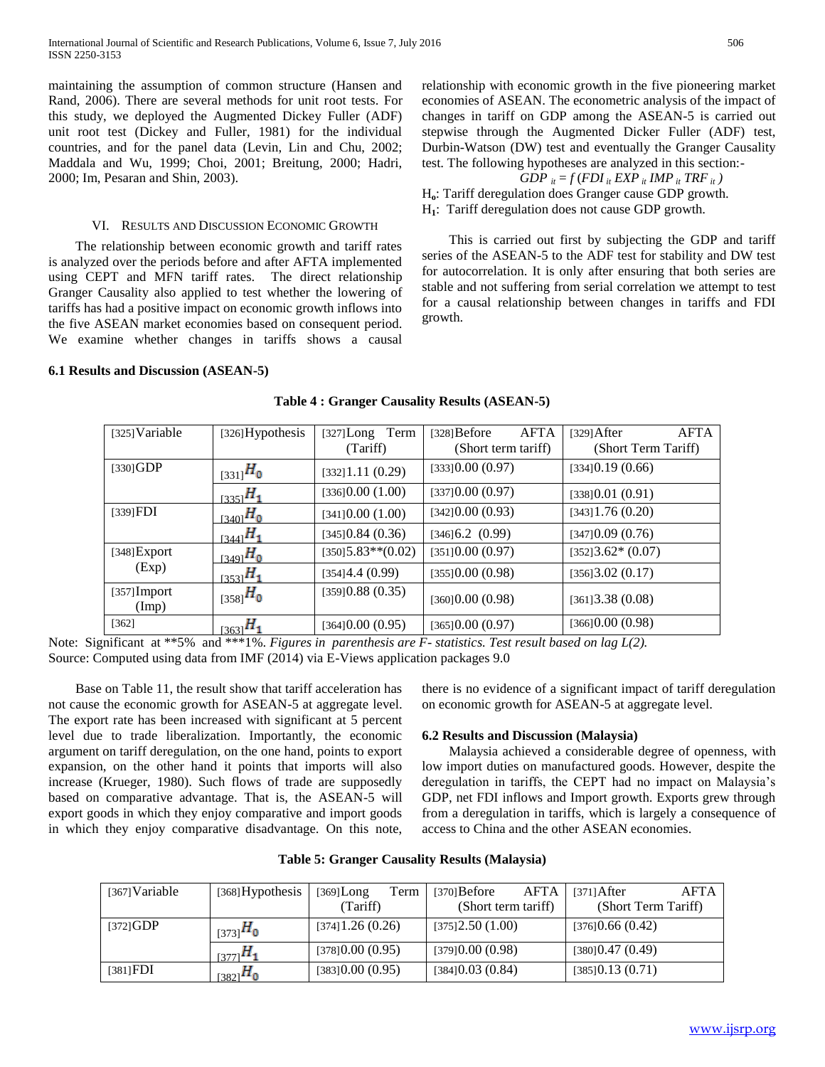maintaining the assumption of common structure (Hansen and Rand, 2006). There are several methods for unit root tests. For this study, we deployed the Augmented Dickey Fuller (ADF) unit root test (Dickey and Fuller, 1981) for the individual countries, and for the panel data (Levin, Lin and Chu, 2002; Maddala and Wu, 1999; Choi, 2001; Breitung, 2000; Hadri, 2000; Im, Pesaran and Shin, 2003).

#### VI. RESULTS AND DISCUSSION ECONOMIC GROWTH

 The relationship between economic growth and tariff rates is analyzed over the periods before and after AFTA implemented using CEPT and MFN tariff rates. The direct relationship Granger Causality also applied to test whether the lowering of tariffs has had a positive impact on economic growth inflows into the five ASEAN market economies based on consequent period. We examine whether changes in tariffs shows a causal relationship with economic growth in the five pioneering market economies of ASEAN. The econometric analysis of the impact of changes in tariff on GDP among the ASEAN-5 is carried out stepwise through the Augmented Dicker Fuller (ADF) test, Durbin-Watson (DW) test and eventually the Granger Causality test. The following hypotheses are analyzed in this section:-

## *GDP*  $i_t = f(FDI_i t EXP_i t MP_i t TRF_i t)$

H**o**: Tariff deregulation does Granger cause GDP growth.

H**1**: Tariff deregulation does not cause GDP growth.

 This is carried out first by subjecting the GDP and tariff series of the ASEAN-5 to the ADF test for stability and DW test for autocorrelation. It is only after ensuring that both series are stable and not suffering from serial correlation we attempt to test for a causal relationship between changes in tariffs and FDI growth.

## **6.1 Results and Discussion (ASEAN-5)**

| [325] Variable          | [326] Hypothesis | Term<br>$[327]$ Long<br>(Tariff) | <b>AFTA</b><br>$[328] \text{Before}$<br>(Short term tariff) | <b>AFTA</b><br>$[329]$ After<br>(Short Term Tariff) |
|-------------------------|------------------|----------------------------------|-------------------------------------------------------------|-----------------------------------------------------|
| [330] GDP               | $_{[331]}H_0$    | [332]1.11(0.29)                  | [333]0.00(0.97)                                             | [334]0.19(0.66)                                     |
|                         | $_{[335]}H_1$    | [336]0.00(1.00)                  | [337]0.00(0.97)                                             | [338]0.01(0.91)                                     |
| $[339]$ FDI             | $_{[340]}H_0$    | [341]0.00(1.00)                  | [342]0.00(0.93)                                             | [343]1.76(0.20)                                     |
|                         | $_{13441}H_1$    | [345]0.84(0.36)                  | [346]6.2(0.99)                                              | [347]0.09(0.76)                                     |
| [348] Export            | $_{[349]}H_0$    | $[350]5.83**$ (0.02)             | [351]0.00(0.97)                                             | $[352]3.62*(0.07)$                                  |
| (Exp)                   | $13531H_1$       | [354]4.4(0.99)                   | [355]0.00(0.98)                                             | [356]3.02(0.17)                                     |
| $[357]$ Import<br>(Imp) | $_{[358]}H_0$    | [359]0.88(0.35)                  | [360]0.00(0.98)                                             | [361]3.38(0.08)                                     |
| $[362]$                 | $_{[363]}H_1$    | [364]0.00(0.95)                  | [365]0.00(0.97)                                             | [366]0.00(0.98)                                     |

#### **Table 4 : Granger Causality Results (ASEAN-5)**

Note: Significant at \*\*5% and \*\*\*1%. *Figures in parenthesis are F- statistics. Test result based on lag L(2).*  Source: Computed using data from IMF (2014) via E-Views application packages 9.0

 Base on Table 11, the result show that tariff acceleration has not cause the economic growth for ASEAN-5 at aggregate level. The export rate has been increased with significant at 5 percent level due to trade liberalization. Importantly, the economic argument on tariff deregulation, on the one hand, points to export expansion, on the other hand it points that imports will also increase (Krueger, 1980). Such flows of trade are supposedly based on comparative advantage. That is, the ASEAN-5 will export goods in which they enjoy comparative and import goods in which they enjoy comparative disadvantage. On this note,

there is no evidence of a significant impact of tariff deregulation on economic growth for ASEAN-5 at aggregate level.

#### **6.2 Results and Discussion (Malaysia)**

 Malaysia achieved a considerable degree of openness, with low import duties on manufactured goods. However, despite the deregulation in tariffs, the CEPT had no impact on Malaysia's GDP, net FDI inflows and Import growth. Exports grew through from a deregulation in tariffs, which is largely a consequence of access to China and the other ASEAN economies.

| Table 5: Granger Causality Results (Malaysia) |  |  |  |  |
|-----------------------------------------------|--|--|--|--|
|-----------------------------------------------|--|--|--|--|

| $[367]$ Variable | $[368]$ Hypothesis | $[369]$ Long    | Term | $[370]$ Before  | <b>AFTA</b>         | $[371]$ After       | <b>AFTA</b> |
|------------------|--------------------|-----------------|------|-----------------|---------------------|---------------------|-------------|
|                  |                    | (Tariff)        |      |                 | (Short term tariff) | (Short Term Tariff) |             |
| $[372]$ GDP      | $_{[373]}H_0$      | [374]1.26(0.26) |      | [375]2.50(1.00) |                     | [376]0.66(0.42)     |             |
|                  | $_{[377]}H_1$      | [378]0.00(0.95) |      | [379]0.00(0.98) |                     | [380]0.47(0.49)     |             |
| $[381]$ FDI      | $_{[382]}H_0$      | [383]0.00(0.95) |      | [384]0.03(0.84) |                     | [385]0.13(0.71)     |             |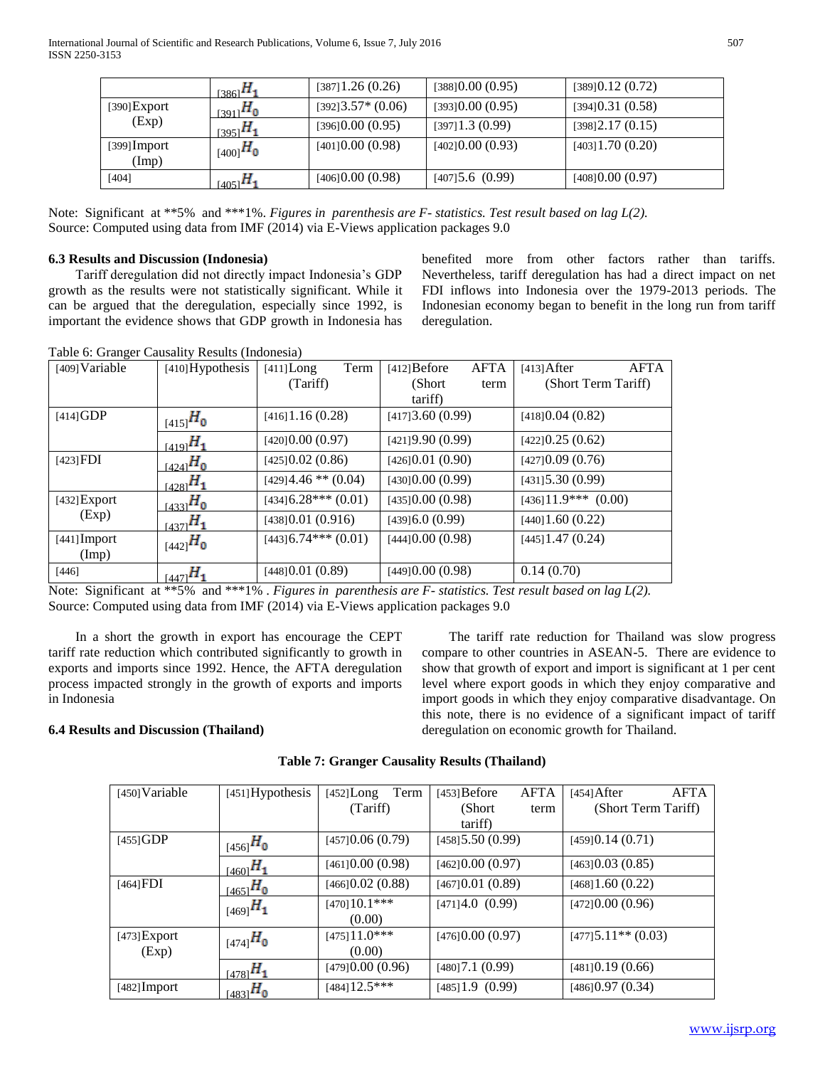|                         | $_{[386]}H_1$ | [387]1.26(0.26)    | [388]0.00(0.95)    | [389]0.12(0.72) |
|-------------------------|---------------|--------------------|--------------------|-----------------|
| [390]Export             | $_{[391]}H_0$ | $[392]3.57*(0.06)$ | [393]0.00(0.95)    | [394]0.31(0.58) |
| (Exp)                   | $_{[395]}H_1$ | [396]0.00(0.95)    | $[397]$ 1.3 (0.99) | [398]2.17(0.15) |
| $[399]$ Import<br>(Imp) | $_{[400]}H_0$ | [401]0.00(0.98)    | [402]0.00(0.93)    | [403]1.70(0.20) |
| [404]                   | $_{[405]}H_1$ | [406]0.00(0.98)    | [407]5.6(0.99)     | [408]0.00(0.97) |

Note: Significant at \*\*5% and \*\*\*1%. *Figures in parenthesis are F- statistics. Test result based on lag L(2).*  Source: Computed using data from IMF (2014) via E-Views application packages 9.0

## **6.3 Results and Discussion (Indonesia)**

 Tariff deregulation did not directly impact Indonesia's GDP growth as the results were not statistically significant. While it can be argued that the deregulation, especially since 1992, is important the evidence shows that GDP growth in Indonesia has

benefited more from other factors rather than tariffs. Nevertheless, tariff deregulation has had a direct impact on net FDI inflows into Indonesia over the 1979-2013 periods. The Indonesian economy began to benefit in the long run from tariff deregulation.

Table 6: Granger Causality Results (Indonesia)

| [409] Variable          | [410] Hypothesis | $[411]$ Long<br>Term    | AFTA<br>$[412]$ Before | <b>AFTA</b><br>$[413]$ After |
|-------------------------|------------------|-------------------------|------------------------|------------------------------|
|                         |                  | (Tariff)                | (Short)<br>term        | (Short Term Tariff)          |
|                         |                  |                         | tariff)                |                              |
| $[414]$ GDP             | $_{[415]}H_0$    | $[416]$ 1.16 (0.28)     | [417]3.60(0.99)        | [418]0.04(0.82)              |
|                         | $_{[419]}H_1$    | [420]0.00(0.97)         | [421]9.90(0.99)        | [422]0.25(0.62)              |
| $[423]$ FDI             | $_{[424]}H_0$    | [425]0.02(0.86)         | [426]0.01(0.90)        | [427]0.09(0.76)              |
|                         | $_{[428]}H_1$    | $[429]4.46$ ** $(0.04)$ | [430]0.00(0.99)        | $[431]$ 5.30 (0.99)          |
| $[432]$ Export          | $_{[433]}H_0$    | $[434]6.28***(0.01)$    | [435]0.00(0.98)        | $[436]11.9***$ (0.00)        |
| (Exp)                   | $_{14371}H_1$    | [438]0.01(0.916)        | [439]6.0(0.99)         | $[440]$ 1.60 $(0.22)$        |
| $[441]$ Import<br>(Imp) | $_{[442]}H_0$    | $[443]$ 6.74*** (0.01)  | [444]0.00(0.98)        | $[445]$ 1.47 (0.24)          |
| [446]                   | $_{[447]}H_1$    | [448]0.01(0.89)         | [449]0.00(0.98)        | 0.14(0.70)                   |

Note: Significant at \*\*5% and \*\*\*1% . *Figures in parenthesis are F- statistics. Test result based on lag L(2).*  Source: Computed using data from IMF (2014) via E-Views application packages 9.0

 In a short the growth in export has encourage the CEPT tariff rate reduction which contributed significantly to growth in exports and imports since 1992. Hence, the AFTA deregulation process impacted strongly in the growth of exports and imports in Indonesia

 The tariff rate reduction for Thailand was slow progress compare to other countries in ASEAN-5. There are evidence to show that growth of export and import is significant at 1 per cent level where export goods in which they enjoy comparative and import goods in which they enjoy comparative disadvantage. On this note, there is no evidence of a significant impact of tariff deregulation on economic growth for Thailand.

# **6.4 Results and Discussion (Thailand)**

| <b>Table 7: Granger Causality Results (Thailand)</b> |  |
|------------------------------------------------------|--|
|                                                      |  |

| [450] Variable | $[451]$ Hypothesis | [452]Long                | Term | $[453]$ Before      | <b>AFTA</b> | $[454]$ After        | <b>AFTA</b> |
|----------------|--------------------|--------------------------|------|---------------------|-------------|----------------------|-------------|
|                |                    | (Tariff)                 |      | (Short)             | term        | (Short Term Tariff)  |             |
|                |                    |                          |      | tariff)             |             |                      |             |
| $[455]$ GDP    | $_{[456]}H_0$      | [457]0.06(0.79)          |      | $[458]$ 5.50 (0.99) |             | [459]0.14(0.71)      |             |
|                | $_{[460]}H_1$      | [461]0.00(0.98)          |      | [462]0.00(0.97)     |             | [463]0.03(0.85)      |             |
| $[464]$ FDI    | $_{[465]}H_0$      | [466]0.02(0.88)          |      | [467]0.01(0.89)     |             | [468]1.60(0.22)      |             |
|                | $_{[469]}H_1$      | $[470]10.1***$<br>(0.00) |      | [471]4.0(0.99)      |             | [472]0.00(0.96)      |             |
| $[473]$ Export | $_{[474]}H_0$      | $[475]11.0***$           |      | [476]0.00(0.97)     |             | $[477]5.11**$ (0.03) |             |
| (Exp)          |                    | (0.00)                   |      |                     |             |                      |             |
|                | $_{[478]}H_1$      | [479]0.00(0.96)          |      | [480]7.1(0.99)      |             | [481]0.19(0.66)      |             |
| $[482]$ Import | $_{[483]}H_0$      | $[484]$ 12.5***          |      | [485]1.9(0.99)      |             | [486]0.97(0.34)      |             |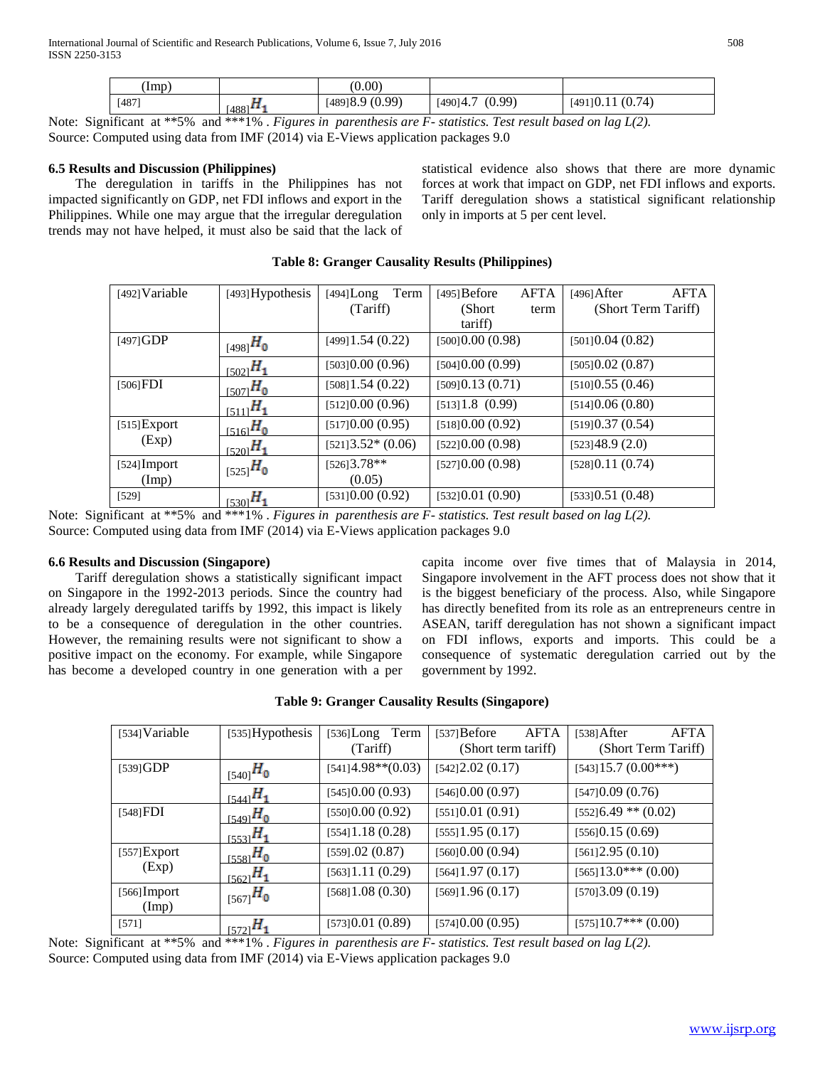International Journal of Scientific and Research Publications, Volume 6, Issue 7, July 2016 508 ISSN 2250-3153

| (Imp) |                       | (0.00)         |                    |                      |
|-------|-----------------------|----------------|--------------------|----------------------|
| [487] | $1488$ <sup>143</sup> | [489]8.9(0.99) | (0.99)<br>[490]4.7 | (0.74)<br>[491] 0.11 |

Note: Significant at \*\*5% and \*\*\*1% . *Figures in parenthesis are F- statistics. Test result based on lag L(2).*  Source: Computed using data from IMF (2014) via E-Views application packages 9.0

## **6.5 Results and Discussion (Philippines)**

 The deregulation in tariffs in the Philippines has not impacted significantly on GDP, net FDI inflows and export in the Philippines. While one may argue that the irregular deregulation trends may not have helped, it must also be said that the lack of statistical evidence also shows that there are more dynamic forces at work that impact on GDP, net FDI inflows and exports. Tariff deregulation shows a statistical significant relationship only in imports at 5 per cent level.

| $[492]$ Variable     | [493] Hypothesis | $[494]$ Long          | Term | $[495]$ Before    | AFTA | [496] After         | <b>AFTA</b> |
|----------------------|------------------|-----------------------|------|-------------------|------|---------------------|-------------|
|                      |                  | (Tariff)              |      | (Short)           | term | (Short Term Tariff) |             |
|                      |                  |                       |      | tariff)           |      |                     |             |
| $[497]$ GDP          | $_{[498]}H_0$    | $[499]$ 1.54 $(0.22)$ |      | [500] 0.00 (0.98) |      | [501]0.04(0.82)     |             |
|                      | $_{[502]}H_1$    | [503]0.00(0.96)       |      | [504]0.00(0.99)   |      | [505]0.02(0.87)     |             |
| $[506]$ FDI          | $_{15071}H_0$    | $[508]$ 1.54 (0.22)   |      | [509]0.13(0.71)   |      | [510]0.55(0.46)     |             |
|                      | $_{[511]}H_1$    | [512]0.00(0.96)       |      | [513]1.8(0.99)    |      | [514]0.06(0.80)     |             |
| [515]Export<br>(Exp) | $_{[516]}H_0$    | [517]0.00(0.95)       |      | [518]0.00(0.92)   |      | [519]0.37(0.54)     |             |
|                      | $_{15201}H_1$    | $[521]3.52*(0.06)$    |      | [522]0.00(0.98)   |      | [523]48.9(2.0)      |             |
| [524] Import         | $_{[525]}H_0$    | $[526]3.78**$         |      | [527]0.00(0.98)   |      | [528]0.11(0.74)     |             |
| (Imp)                |                  | (0.05)                |      |                   |      |                     |             |
| [529]                | $r_{5301}H_1$    | [531]0.00(0.92)       |      | [532]0.01(0.90)   |      | [533]0.51(0.48)     |             |

#### **Table 8: Granger Causality Results (Philippines)**

Note: Significant at \*\*5% and \*\*\*1% . *Figures in parenthesis are F- statistics. Test result based on lag L(2).*  Source: Computed using data from IMF (2014) via E-Views application packages 9.0

# **6.6 Results and Discussion (Singapore)**

 Tariff deregulation shows a statistically significant impact on Singapore in the 1992-2013 periods. Since the country had already largely deregulated tariffs by 1992, this impact is likely to be a consequence of deregulation in the other countries. However, the remaining results were not significant to show a positive impact on the economy. For example, while Singapore has become a developed country in one generation with a per

capita income over five times that of Malaysia in 2014, Singapore involvement in the AFT process does not show that it is the biggest beneficiary of the process. Also, while Singapore has directly benefited from its role as an entrepreneurs centre in ASEAN, tariff deregulation has not shown a significant impact on FDI inflows, exports and imports. This could be a consequence of systematic deregulation carried out by the government by 1992.

| [534] Variable          | $[535]$ Hypothesis | [536]Long Term<br>(Tariff) | <b>AFTA</b><br>$[537]$ Before<br>(Short term tariff) | <b>AFTA</b><br>$[538]$ After<br>(Short Term Tariff) |
|-------------------------|--------------------|----------------------------|------------------------------------------------------|-----------------------------------------------------|
| [539]GDP                | $_{[540]}H_0$      | $[541]4.98**$ (0.03)       | [542]2.02(0.17)                                      | $[543]15.7(0.00***)$                                |
|                         | $_{5441}H_1$       | [545]0.00(0.93)            | [546]0.00(0.97)                                      | [547]0.09(0.76)                                     |
| $[548]$ FDI             | $_{[549]}H_0$      | [550]0.00(0.92)            | [551]0.01(0.91)                                      | $[552]$ 6.49 ** (0.02)                              |
|                         | $L_{5531}H_{1}$    | [554]1.18(0.28)            | [555]1.95(0.17)                                      | [556]0.15(0.69)                                     |
| $[557]$ Export<br>(Exp) | $_{[558]}H_0$      | [559] .02 (0.87)           | [560]0.00(0.94)                                      | [561]2.95(0.10)                                     |
|                         | $_{1562}H_1$       | [563]1.11(0.29)            | $[564]$ 1.97 (0.17)                                  | $[565]13.0***(0.00)$                                |
| $[566]$ Import<br>(Imp) | $_{[567]}H_0$      | [568]1.08(0.30)            | [569]1.96(0.17)                                      | [570]3.09(0.19)                                     |
| [571]                   | $H_{1572}H_{1}$    | [573]0.01(0.89)            | [574]0.00(0.95)                                      | $[575]10.7^{***}$ (0.00)                            |

## **Table 9: Granger Causality Results (Singapore)**

Note: Significant at \*\*5% and \*\*\*1% . *Figures in parenthesis are F- statistics. Test result based on lag L(2).* Source: Computed using data from IMF (2014) via E-Views application packages 9.0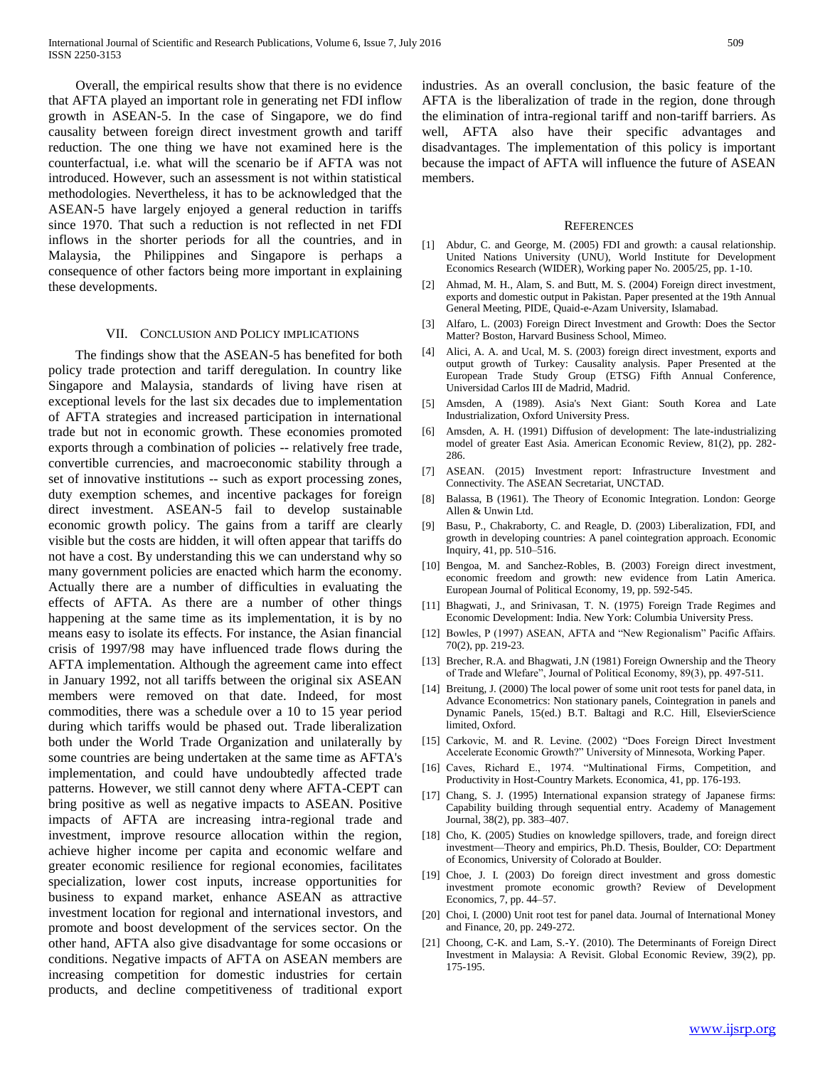Overall, the empirical results show that there is no evidence that AFTA played an important role in generating net FDI inflow growth in ASEAN-5. In the case of Singapore, we do find causality between foreign direct investment growth and tariff reduction. The one thing we have not examined here is the counterfactual, i.e. what will the scenario be if AFTA was not introduced. However, such an assessment is not within statistical methodologies. Nevertheless, it has to be acknowledged that the ASEAN-5 have largely enjoyed a general reduction in tariffs since 1970. That such a reduction is not reflected in net FDI inflows in the shorter periods for all the countries, and in Malaysia, the Philippines and Singapore is perhaps a consequence of other factors being more important in explaining these developments.

#### VII. CONCLUSION AND POLICY IMPLICATIONS

 The findings show that the ASEAN-5 has benefited for both policy trade protection and tariff deregulation. In country like Singapore and Malaysia, standards of living have risen at exceptional levels for the last six decades due to implementation of AFTA strategies and increased participation in international trade but not in economic growth. These economies promoted exports through a combination of policies -- relatively free trade, convertible currencies, and macroeconomic stability through a set of innovative institutions -- such as export processing zones, duty exemption schemes, and incentive packages for foreign direct investment. ASEAN-5 fail to develop sustainable economic growth policy. The gains from a tariff are clearly visible but the costs are hidden, it will often appear that tariffs do not have a cost. By understanding this we can understand why so many government policies are enacted which harm the economy. Actually there are a number of difficulties in evaluating the effects of AFTA. As there are a number of other things happening at the same time as its implementation, it is by no means easy to isolate its effects. For instance, the Asian financial crisis of 1997/98 may have influenced trade flows during the AFTA implementation. Although the agreement came into effect in January 1992, not all tariffs between the original six ASEAN members were removed on that date. Indeed, for most commodities, there was a schedule over a 10 to 15 year period during which tariffs would be phased out. Trade liberalization both under the World Trade Organization and unilaterally by some countries are being undertaken at the same time as AFTA's implementation, and could have undoubtedly affected trade patterns. However, we still cannot deny where AFTA-CEPT can bring positive as well as negative impacts to ASEAN. Positive impacts of AFTA are increasing intra-regional trade and investment, improve resource allocation within the region, achieve higher income per capita and economic welfare and greater economic resilience for regional economies, facilitates specialization, lower cost inputs, increase opportunities for business to expand market, enhance ASEAN as attractive investment location for regional and international investors, and promote and boost development of the services sector. On the other hand, AFTA also give disadvantage for some occasions or conditions. Negative impacts of AFTA on ASEAN members are increasing competition for domestic industries for certain products, and decline competitiveness of traditional export

industries. As an overall conclusion, the basic feature of the AFTA is the liberalization of trade in the region, done through the elimination of intra-regional tariff and non-tariff barriers. As well, AFTA also have their specific advantages and disadvantages. The implementation of this policy is important because the impact of AFTA will influence the future of ASEAN members.

#### REFERENCES

- [1] Abdur, C. and George, M. (2005) FDI and growth: a causal relationship. United Nations University (UNU), World Institute for Development Economics Research (WIDER), Working paper No. 2005/25, pp. 1-10.
- [2] Ahmad, M. H., Alam, S. and Butt, M. S. (2004) Foreign direct investment, exports and domestic output in Pakistan. Paper presented at the 19th Annual General Meeting, PIDE, Quaid-e-Azam University, Islamabad.
- [3] Alfaro, L. (2003) Foreign Direct Investment and Growth: Does the Sector Matter? Boston, Harvard Business School, Mimeo.
- [4] Alici, A. A. and Ucal, M. S. (2003) foreign direct investment, exports and output growth of Turkey: Causality analysis. Paper Presented at the European Trade Study Group (ETSG) Fifth Annual Conference, Universidad Carlos III de Madrid, Madrid.
- [5] Amsden, A (1989). Asia's Next Giant: South Korea and Late Industrialization, Oxford University Press.
- [6] Amsden, A. H. (1991) Diffusion of development: The late-industrializing model of greater East Asia. American Economic Review, 81(2), pp. 282- 286.
- [7] ASEAN. (2015) Investment report: Infrastructure Investment and Connectivity. The ASEAN Secretariat, UNCTAD.
- [8] Balassa, B (1961). The Theory of Economic Integration. London: George Allen & Unwin Ltd.
- [9] Basu, P., Chakraborty, C. and Reagle, D. (2003) Liberalization, FDI, and growth in developing countries: A panel cointegration approach. Economic Inquiry, 41, pp. 510–516.
- [10] Bengoa, M. and Sanchez-Robles, B. (2003) Foreign direct investment, economic freedom and growth: new evidence from Latin America. European Journal of Political Economy, 19, pp. 592-545.
- [11] Bhagwati, J., and Srinivasan, T. N. (1975) Foreign Trade Regimes and Economic Development: India. New York: Columbia University Press.
- [12] Bowles, P (1997) ASEAN, AFTA and "New Regionalism" Pacific Affairs. 70(2), pp. 219-23.
- [13] Brecher, R.A. and Bhagwati, J.N (1981) Foreign Ownership and the Theory of Trade and Wlefare", Journal of Political Economy, 89(3), pp. 497-511.
- [14] Breitung, J. (2000) The local power of some unit root tests for panel data, in Advance Econometrics: Non stationary panels, Cointegration in panels and Dynamic Panels, 15(ed.) B.T. Baltagi and R.C. Hill, ElsevierScience limited, Oxford.
- [15] Carkovic, M. and R. Levine. (2002) "Does Foreign Direct Investment Accelerate Economic Growth?" University of Minnesota, Working Paper.
- [16] Caves, Richard E., 1974. "Multinational Firms, Competition, and Productivity in Host-Country Markets. Economica, 41, pp. 176-193.
- [17] Chang, S. J. (1995) International expansion strategy of Japanese firms: Capability building through sequential entry. Academy of Management Journal, 38(2), pp. 383–407.
- [18] Cho, K. (2005) Studies on knowledge spillovers, trade, and foreign direct investment—Theory and empirics, Ph.D. Thesis, Boulder, CO: Department of Economics, University of Colorado at Boulder.
- [19] Choe, J. I. (2003) Do foreign direct investment and gross domestic investment promote economic growth? Review of Development Economics, 7, pp. 44–57.
- [20] Choi, I. (2000) Unit root test for panel data. Journal of International Money and Finance, 20, pp. 249-272.
- [21] Choong, C-K. and Lam, S.-Y. (2010). The Determinants of Foreign Direct Investment in Malaysia: A Revisit. Global Economic Review, 39(2), pp. 175-195.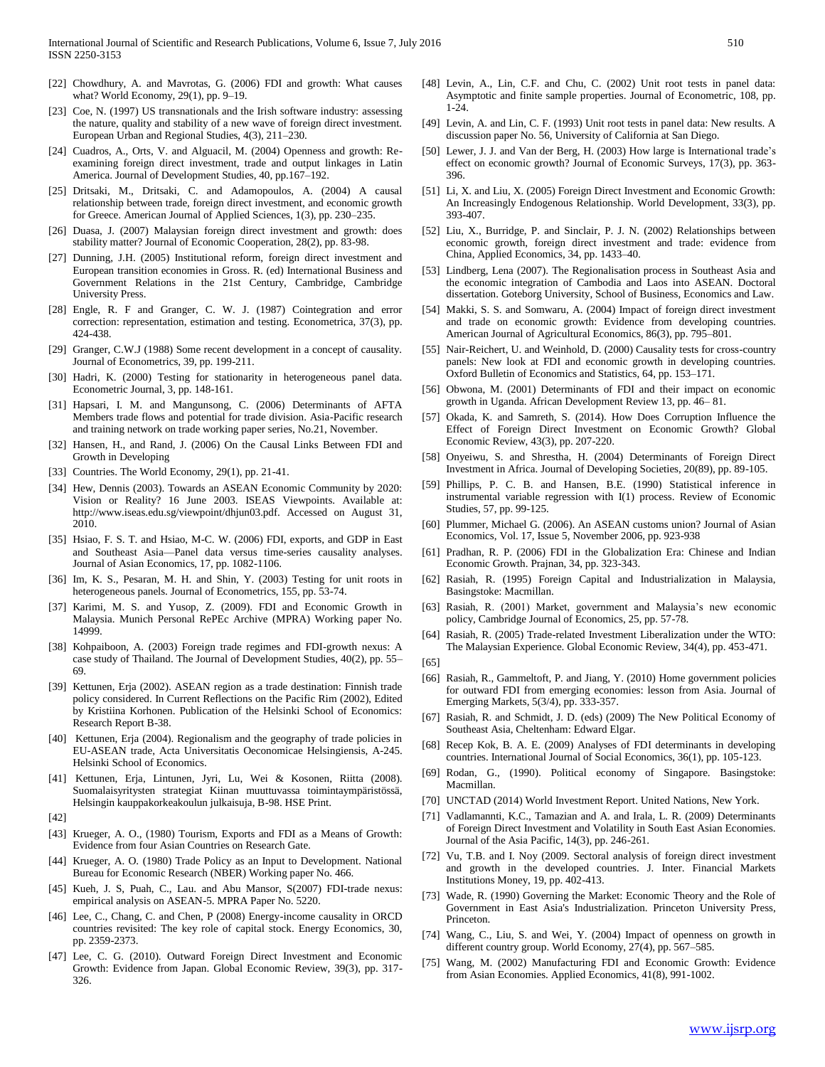- [22] Chowdhury, A. and Mavrotas, G. (2006) FDI and growth: What causes what? World Economy, 29(1), pp. 9–19.
- [23] Coe, N. (1997) US transnationals and the Irish software industry: assessing the nature, quality and stability of a new wave of foreign direct investment. European Urban and Regional Studies, 4(3), 211–230.
- [24] Cuadros, A., Orts, V. and Alguacil, M. (2004) Openness and growth: Reexamining foreign direct investment, trade and output linkages in Latin America. Journal of Development Studies, 40, pp.167–192.
- [25] Dritsaki, M., Dritsaki, C. and Adamopoulos, A. (2004) A causal relationship between trade, foreign direct investment, and economic growth for Greece. American Journal of Applied Sciences, 1(3), pp. 230–235.
- [26] Duasa, J. (2007) Malaysian foreign direct investment and growth: does stability matter? Journal of Economic Cooperation, 28(2), pp. 83-98.
- [27] Dunning, J.H. (2005) Institutional reform, foreign direct investment and European transition economies in Gross. R. (ed) International Business and Government Relations in the 21st Century, Cambridge, Cambridge University Press.
- [28] Engle, R. F and Granger, C. W. J. (1987) Cointegration and error correction: representation, estimation and testing. Econometrica, 37(3), pp. 424-438.
- [29] Granger, C.W.J (1988) Some recent development in a concept of causality. Journal of Econometrics, 39, pp. 199-211.
- [30] Hadri, K. (2000) Testing for stationarity in heterogeneous panel data. Econometric Journal, 3, pp. 148-161.
- [31] Hapsari, I. M. and Mangunsong, C. (2006) Determinants of AFTA Members trade flows and potential for trade division. Asia-Pacific research and training network on trade working paper series, No.21, November.
- [32] Hansen, H., and Rand, J. (2006) On the Causal Links Between FDI and Growth in Developing
- [33] Countries. The World Economy, 29(1), pp. 21-41.
- [34] Hew, Dennis (2003). Towards an ASEAN Economic Community by 2020: Vision or Reality? 16 June 2003. ISEAS Viewpoints. Available at: http://www.iseas.edu.sg/viewpoint/dhjun03.pdf. Accessed on August 31, 2010.
- [35] Hsiao, F. S. T. and Hsiao, M-C. W. (2006) FDI, exports, and GDP in East and Southeast Asia—Panel data versus time-series causality analyses. Journal of Asian Economics, 17, pp. 1082-1106.
- [36] Im, K. S., Pesaran, M. H. and Shin, Y. (2003) Testing for unit roots in heterogeneous panels. Journal of Econometrics, 155, pp. 53-74.
- [37] Karimi, M. S. and Yusop, Z. (2009). FDI and Economic Growth in Malaysia. Munich Personal RePEc Archive (MPRA) Working paper No. 14999.
- [38] Kohpaiboon, A. (2003) Foreign trade regimes and FDI-growth nexus: A case study of Thailand. The Journal of Development Studies, 40(2), pp. 55– 69.
- [39] Kettunen, Erja (2002). ASEAN region as a trade destination: Finnish trade policy considered. In Current Reflections on the Pacific Rim (2002), Edited by Kristiina Korhonen. Publication of the Helsinki School of Economics: Research Report B-38.
- [40] Kettunen, Erja (2004). Regionalism and the geography of trade policies in EU-ASEAN trade, Acta Universitatis Oeconomicae Helsingiensis, A-245. Helsinki School of Economics.
- [41] Kettunen, Erja, Lintunen, Jyri, Lu, Wei & Kosonen, Riitta (2008). Suomalaisyritysten strategiat Kiinan muuttuvassa toimintaympäristössä, Helsingin kauppakorkeakoulun julkaisuja, B-98. HSE Print.
- [42]
- [43] Krueger, A. O., (1980) Tourism, Exports and FDI as a Means of Growth: Evidence from four Asian Countries on Research Gate.
- [44] Krueger, A. O. (1980) Trade Policy as an Input to Development. National Bureau for Economic Research (NBER) Working paper No. 466.
- [45] Kueh, J. S, Puah, C., Lau. and Abu Mansor, S(2007) FDI-trade nexus: empirical analysis on ASEAN-5. MPRA Paper No. 5220.
- [46] Lee, C., Chang, C. and Chen, P (2008) Energy-income causality in ORCD countries revisited: The key role of capital stock. Energy Economics, 30, pp. 2359-2373.
- [47] Lee, C. G. (2010). Outward Foreign Direct Investment and Economic Growth: Evidence from Japan. Global Economic Review, 39(3), pp. 317- 326.
- [48] Levin, A., Lin, C.F. and Chu, C. (2002) Unit root tests in panel data: Asymptotic and finite sample properties. Journal of Econometric, 108, pp. 1-24.
- [49] Levin, A. and Lin, C. F. (1993) Unit root tests in panel data: New results. A discussion paper No. 56, University of California at San Diego.
- [50] Lewer, J. J. and Van der Berg, H. (2003) How large is International trade's effect on economic growth? Journal of Economic Surveys, 17(3), pp. 363- 396.
- [51] Li, X. and Liu, X. (2005) Foreign Direct Investment and Economic Growth: An Increasingly Endogenous Relationship. World Development, 33(3), pp. 393-407.
- [52] Liu, X., Burridge, P. and Sinclair, P. J. N. (2002) Relationships between economic growth, foreign direct investment and trade: evidence from China, Applied Economics, 34, pp. 1433–40.
- [53] Lindberg, Lena (2007). The Regionalisation process in Southeast Asia and the economic integration of Cambodia and Laos into ASEAN. Doctoral dissertation. Goteborg University, School of Business, Economics and Law.
- [54] Makki, S. S. and Somwaru, A. (2004) Impact of foreign direct investment and trade on economic growth: Evidence from developing countries. American Journal of Agricultural Economics, 86(3), pp. 795–801.
- [55] Nair-Reichert, U. and Weinhold, D. (2000) Causality tests for cross-country panels: New look at FDI and economic growth in developing countries. Oxford Bulletin of Economics and Statistics, 64, pp. 153–171.
- [56] Obwona, M. (2001) Determinants of FDI and their impact on economic growth in Uganda. African Development Review 13, pp. 46– 81.
- [57] Okada, K. and Samreth, S. (2014). How Does Corruption Influence the Effect of Foreign Direct Investment on Economic Growth? Global Economic Review, 43(3), pp. 207-220.
- [58] Onyeiwu, S. and Shrestha, H. (2004) Determinants of Foreign Direct Investment in Africa. Journal of Developing Societies, 20(89), pp. 89-105.
- [59] Phillips, P. C. B. and Hansen, B.E. (1990) Statistical inference in instrumental variable regression with I(1) process. Review of Economic Studies, 57, pp. 99-125.
- [60] Plummer, Michael G. (2006). An ASEAN customs union? Journal of Asian Economics, Vol. 17, Issue 5, November 2006, pp. 923-938
- [61] Pradhan, R. P. (2006) FDI in the Globalization Era: Chinese and Indian Economic Growth. Prajnan, 34, pp. 323-343.
- [62] Rasiah, R. (1995) Foreign Capital and Industrialization in Malaysia, Basingstoke: Macmillan.
- [63] Rasiah, R. (2001) Market, government and Malaysia's new economic policy, Cambridge Journal of Economics, 25, pp. 57-78.
- [64] Rasiah, R. (2005) Trade-related Investment Liberalization under the WTO: The Malaysian Experience. Global Economic Review, 34(4), pp. 453-471.
- [65]
- [66] Rasiah, R., Gammeltoft, P. and Jiang, Y. (2010) Home government policies for outward FDI from emerging economies: lesson from Asia. Journal of Emerging Markets, 5(3/4), pp. 333-357.
- [67] Rasiah, R. and Schmidt, J. D. (eds) (2009) The New Political Economy of Southeast Asia, Cheltenham: Edward Elgar.
- [68] Recep Kok, B. A. E. (2009) Analyses of FDI determinants in developing countries. International Journal of Social Economics, 36(1), pp. 105-123.
- [69] Rodan, G., (1990). Political economy of Singapore. Basingstoke: Macmillan.
- [70] UNCTAD (2014) World Investment Report. United Nations, New York.
- [71] Vadlamannti, K.C., Tamazian and A. and Irala, L. R. (2009) Determinants of Foreign Direct Investment and Volatility in South East Asian Economies. Journal of the Asia Pacific, 14(3), pp. 246-261.
- [72] Vu, T.B. and I. Noy (2009. Sectoral analysis of foreign direct investment and growth in the developed countries. J. Inter. Financial Markets Institutions Money, 19, pp. 402-413.
- [73] Wade, R. (1990) Governing the Market: Economic Theory and the Role of Government in East Asia's Industrialization. Princeton University Press, Princeton.
- [74] Wang, C., Liu, S. and Wei, Y. (2004) Impact of openness on growth in different country group. World Economy, 27(4), pp. 567–585.
- [75] Wang, M. (2002) Manufacturing FDI and Economic Growth: Evidence from Asian Economies. Applied Economics, 41(8), 991-1002.